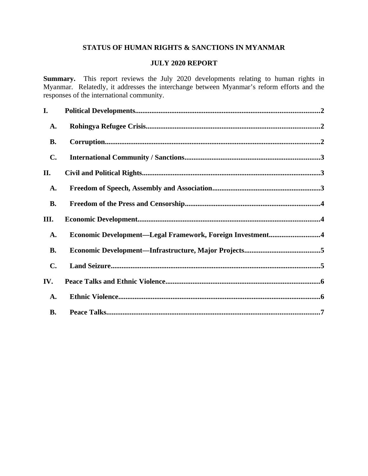# **STATUS OF HUMAN RIGHTS & SANCTIONS IN MYANMAR**

# **JULY 2020 REPORT**

**Summary.** This report reviews the July 2020 developments relating to human rights in Myanmar. Relatedly, it addresses the interchange between Myanmar's reform efforts and the responses of the international community.

| I.             |                                                           |  |
|----------------|-----------------------------------------------------------|--|
| A.             |                                                           |  |
| <b>B.</b>      |                                                           |  |
| C.             |                                                           |  |
| II.            |                                                           |  |
| A.             |                                                           |  |
| <b>B.</b>      |                                                           |  |
| III.           |                                                           |  |
| A.             | Economic Development-Legal Framework, Foreign Investment4 |  |
| <b>B.</b>      |                                                           |  |
| $\mathbf{C}$ . |                                                           |  |
| IV.            |                                                           |  |
| <b>A.</b>      |                                                           |  |
| <b>B.</b>      |                                                           |  |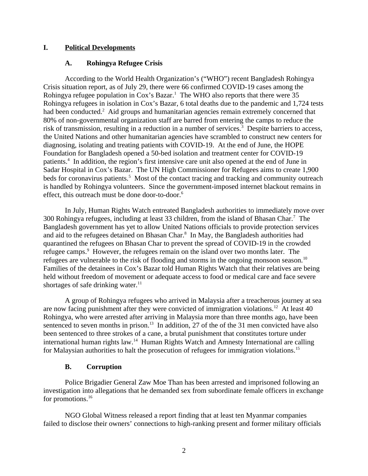## **I. Political Developments**

## <span id="page-1-2"></span><span id="page-1-0"></span>**A. Rohingya Refugee Crisis**

According to the World Health Organization's ("WHO") recent Bangladesh Rohingya Crisis situation report, as of July 29, there were 66 confirmed COVID-19 cases among the Rohingya refugee population in  $Cox$ 's Bazar.<sup>1</sup> The WHO also reports that there were 35 Rohingya refugees in isolation in Cox's Bazar, 6 total deaths due to the pandemic and 1,724 tests had been conducted.<sup>2</sup> Aid groups and humanitarian agencies remain extremely concerned that 80% of non-governmental organization staff are barred from entering the camps to reduce the risk of transmission, resulting in a reduction in a number of services.<sup>3</sup> Despite barriers to access, the United Nations and other humanitarian agencies have scrambled to construct new centers for diagnosing, isolating and treating patients with COVID-19. At the end of June, the HOPE Foundation for Bangladesh opened a 50-bed isolation and treatment center for COVID-19 patients.<sup>4</sup> In addition, the region's first intensive care unit also opened at the end of June in Sadar Hospital in Cox's Bazar. The UN High Commissioner for Refugees aims to create 1,900 beds for coronavirus patients.<sup>5</sup> Most of the contact tracing and tracking and community outreach is handled by Rohingya volunteers. Since the government-imposed internet blackout remains in effect, this outreach must be done door-to-door.<sup>6</sup>

In July, Human Rights Watch entreated Bangladesh authorities to immediately move over 300 Rohingya refugees, including at least 33 children, from the island of Bhasan Char.<sup>7</sup> The Bangladesh government has yet to allow United Nations officials to provide protection services and aid to the refugees detained on Bhasan Char. $8\,$  In May, the Bangladesh authorities had quarantined the refugees on Bhasan Char to prevent the spread of COVID-19 in the crowded refugee camps.<sup>9</sup> However, the refugees remain on the island over two months later. The refugees are vulnerable to the risk of flooding and storms in the ongoing monsoon season.<sup>10</sup> Families of the detainees in Cox's Bazar told Human Rights Watch that their relatives are being held without freedom of movement or adequate access to food or medical care and face severe shortages of safe drinking water. $11$ 

A group of Rohingya refugees who arrived in Malaysia after a treacherous journey at sea are now facing punishment after they were convicted of immigration violations.<sup>12</sup> At least 40 Rohingya, who were arrested after arriving in Malaysia more than three months ago, have been sentenced to seven months in prison.<sup>13</sup> In addition, 27 of the of the 31 men convicted have also been sentenced to three strokes of a cane, a brutal punishment that constitutes torture under international human rights  $law<sup>14</sup>$  Human Rights Watch and Amnesty International are calling for Malaysian authorities to halt the prosecution of refugees for immigration violations.<sup>15</sup>

# <span id="page-1-1"></span>**B. Corruption**

Police Brigadier General Zaw Moe Than has been arrested and imprisoned following an investigation into allegations that he demanded sex from subordinate female officers in exchange for promotions.<sup>16</sup>

NGO Global Witness released a report finding that at least ten Myanmar companies failed to disclose their owners' connections to high-ranking present and former military officials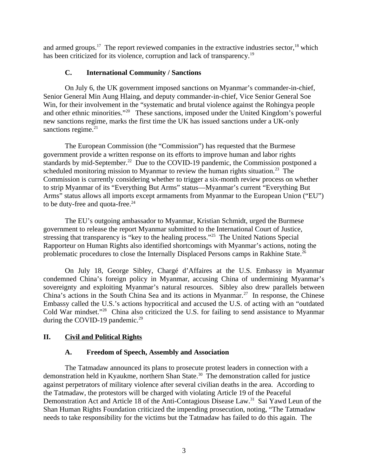and armed groups.<sup>17</sup> The report reviewed companies in the extractive industries sector,<sup>18</sup> which has been criticized for its violence, corruption and lack of transparency.<sup>19</sup>

## <span id="page-2-2"></span>**C. International Community / Sanctions**

On July 6, the UK government imposed sanctions on Myanmar's commander-in-chief, Senior General Min Aung Hlaing, and deputy commander-in-chief, Vice Senior General Soe Win, for their involvement in the "systematic and brutal violence against the Rohingya people and other ethnic minorities."<sup>20</sup> These sanctions, imposed under the United Kingdom's powerful new sanctions regime, marks the first time the UK has issued sanctions under a UK-only sanctions regime. $21$ 

The European Commission (the "Commission") has requested that the Burmese government provide a written response on its efforts to improve human and labor rights standards by mid-September.<sup>22</sup> Due to the COVID-19 pandemic, the Commission postponed a scheduled monitoring mission to Myanmar to review the human rights situation.<sup>23</sup> The Commission is currently considering whether to trigger a six-month review process on whether to strip Myanmar of its "Everything But Arms" status—Myanmar's current "Everything But Arms" status allows all imports except armaments from Myanmar to the European Union ("EU") to be duty-free and quota-free.<sup>24</sup>

The EU's outgoing ambassador to Myanmar, Kristian Schmidt, urged the Burmese government to release the report Myanmar submitted to the International Court of Justice, stressing that transparency is "key to the healing process."<sup>25</sup> The United Nations Special Rapporteur on Human Rights also identified shortcomings with Myanmar's actions, noting the problematic procedures to close the Internally Displaced Persons camps in Rakhine State.<sup>26</sup>

On July 18, George Sibley, Chargé d'Affaires at the U.S. Embassy in Myanmar condemned China's foreign policy in Myanmar, accusing China of undermining Myanmar's sovereignty and exploiting Myanmar's natural resources. Sibley also drew parallels between China's actions in the South China Sea and its actions in Myanmar.<sup>27</sup> In response, the Chinese Embassy called the U.S.'s actions hypocritical and accused the U.S. of acting with an "outdated Cold War mindset."<sup>28</sup> China also criticized the U.S. for failing to send assistance to Myanmar during the COVID-19 pandemic. $^{29}$ 

# **II. Civil and Political Rights**

## <span id="page-2-1"></span><span id="page-2-0"></span>**A. Freedom of Speech, Assembly and Association**

The Tatmadaw announced its plans to prosecute protest leaders in connection with a demonstration held in Kyaukme, northern Shan State.<sup>30</sup> The demonstration called for justice against perpetrators of military violence after several civilian deaths in the area. According to the Tatmadaw, the protestors will be charged with violating Article 19 of the Peaceful Demonstration Act and Article 18 of the Anti-Contagious Disease Law.<sup>31</sup> Sai Yawd Leun of the Shan Human Rights Foundation criticized the impending prosecution, noting, "The Tatmadaw needs to take responsibility for the victims but the Tatmadaw has failed to do this again. The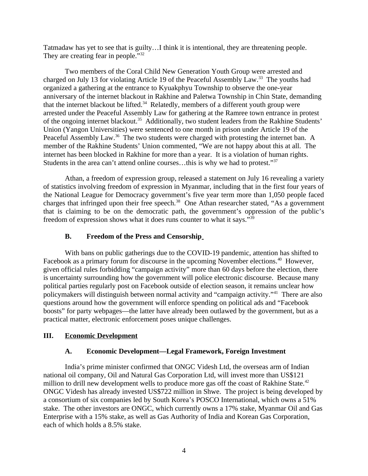Tatmadaw has yet to see that is guilty…I think it is intentional, they are threatening people. They are creating fear in people."<sup>32</sup>

Two members of the Coral Child New Generation Youth Group were arrested and charged on July 13 for violating Article 19 of the Peaceful Assembly Law.<sup>33</sup> The youths had organized a gathering at the entrance to Kyuakphyu Township to observe the one-year anniversary of the internet blackout in Rakhine and Paletwa Township in Chin State, demanding that the internet blackout be lifted. $34$  Relatedly, members of a different youth group were arrested under the Peaceful Assembly Law for gathering at the Ramree town entrance in protest of the ongoing internet blackout.<sup>35</sup> Additionally, two student leaders from the Rakhine Students' Union (Yangon Universities) were sentenced to one month in prison under Article 19 of the Peaceful Assembly Law.<sup>36</sup> The two students were charged with protesting the internet ban. A member of the Rakhine Students' Union commented, "We are not happy about this at all. The internet has been blocked in Rakhine for more than a year. It is a violation of human rights. Students in the area can't attend online courses…this is why we had to protest."<sup>37</sup>

Athan, a freedom of expression group, released a statement on July 16 revealing a variety of statistics involving freedom of expression in Myanmar, including that in the first four years of the National League for Democracy government's five year term more than 1,050 people faced charges that infringed upon their free speech.<sup>38</sup> One Athan researcher stated, "As a government that is claiming to be on the democratic path, the government's oppression of the public's freedom of expression shows what it does runs counter to what it says."<sup>39</sup>

# <span id="page-3-2"></span>**B. Freedom of the Press and Censorship**

With bans on public gatherings due to the COVID-19 pandemic, attention has shifted to Facebook as a primary forum for discourse in the upcoming November elections.<sup>40</sup> However, given official rules forbidding "campaign activity" more than 60 days before the election, there is uncertainty surrounding how the government will police electronic discourse. Because many political parties regularly post on Facebook outside of election season, it remains unclear how policymakers will distinguish between normal activity and "campaign activity."<sup>41</sup> There are also questions around how the government will enforce spending on political ads and "Facebook boosts" for party webpages—the latter have already been outlawed by the government, but as a practical matter, electronic enforcement poses unique challenges.

# **III. Economic Development**

# <span id="page-3-1"></span><span id="page-3-0"></span>**A. Economic Development—Legal Framework, Foreign Investment**

India's prime minister confirmed that ONGC Videsh Ltd, the overseas arm of Indian national oil company, Oil and Natural Gas Corporation Ltd, will invest more than US\$121 million to drill new development wells to produce more gas off the coast of Rakhine State. $42$ ONGC Videsh has already invested US\$722 million in Shwe. The project is being developed by a consortium of six companies led by South Korea's POSCO International, which owns a 51% stake. The other investors are ONGC, which currently owns a 17% stake, Myanmar Oil and Gas Enterprise with a 15% stake, as well as Gas Authority of India and Korean Gas Corporation, each of which holds a 8.5% stake.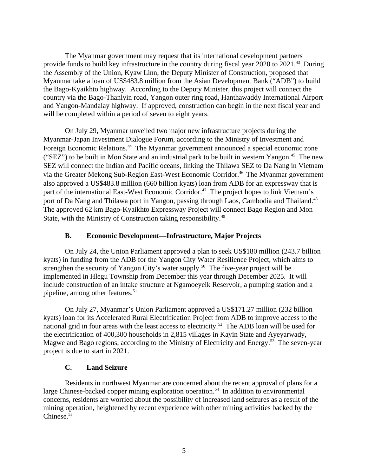The Myanmar government may request that its international development partners provide funds to build key infrastructure in the country during fiscal year 2020 to 2021.<sup>43</sup> During the Assembly of the Union, Kyaw Linn, the Deputy Minister of Construction, proposed that Myanmar take a loan of US\$483.8 million from the Asian Development Bank ("ADB") to build the Bago-Kyaikhto highway. According to the Deputy Minister, this project will connect the country via the Bago-Thanlyin road, Yangon outer ring road, Hanthawaddy International Airport and Yangon-Mandalay highway. If approved, construction can begin in the next fiscal year and will be completed within a period of seven to eight years.

On July 29, Myanmar unveiled two major new infrastructure projects during the Myanmar-Japan Investment Dialogue Forum, according to the Ministry of Investment and Foreign Economic Relations.<sup>44</sup> The Myanmar government announced a special economic zone ("SEZ") to be built in Mon State and an industrial park to be built in western Yangon.<sup>45</sup> The new SEZ will connect the Indian and Pacific oceans, linking the Thilawa SEZ to Da Nang in Vietnam via the Greater Mekong Sub-Region East-West Economic Corridor.<sup>46</sup> The Myanmar government also approved a US\$483.8 million (660 billion kyats) loan from ADB for an expressway that is part of the international East-West Economic Corridor.<sup>47</sup> The project hopes to link Vietnam's port of Da Nang and Thilawa port in Yangon, passing through Laos, Cambodia and Thailand.<sup>48</sup> The approved 62 km Bago-Kyaikhto Expressway Project will connect Bago Region and Mon State, with the Ministry of Construction taking responsibility.<sup>49</sup>

# <span id="page-4-1"></span>**B. Economic Development—Infrastructure, Major Projects**

On July 24, the Union Parliament approved a plan to seek US\$180 million (243.7 billion kyats) in funding from the ADB for the Yangon City Water Resilience Project, which aims to strengthen the security of Yangon City's water supply.<sup>50</sup> The five-year project will be implemented in Hlegu Township from December this year through December 2025. It will include construction of an intake structure at Ngamoeyeik Reservoir, a pumping station and a pipeline, among other features.<sup>51</sup>

On July 27, Myanmar's Union Parliament approved a US\$171.27 million (232 billion kyats) loan for its Accelerated Rural Electrification Project from ADB to improve access to the national grid in four areas with the least access to electricity.<sup>52</sup> The ADB loan will be used for the electrification of 400,300 households in 2,815 villages in Kayin State and Ayeyarwady, Magwe and Bago regions, according to the Ministry of Electricity and Energy.<sup>53</sup> The seven-year project is due to start in 2021.

# <span id="page-4-0"></span>**C. Land Seizure**

Residents in northwest Myanmar are concerned about the recent approval of plans for a large Chinese-backed copper mining exploration operation.<sup>54</sup> In addition to environmental concerns, residents are worried about the possibility of increased land seizures as a result of the mining operation, heightened by recent experience with other mining activities backed by the Chinese.<sup>55</sup>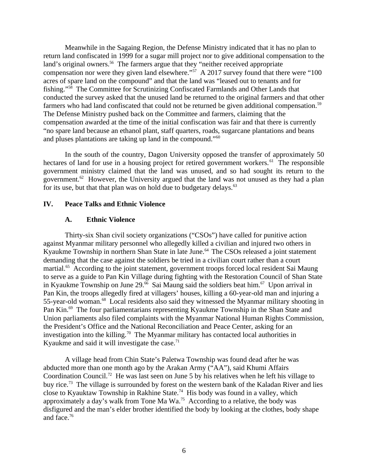Meanwhile in the Sagaing Region, the Defense Ministry indicated that it has no plan to return land confiscated in 1999 for a sugar mill project nor to give additional compensation to the land's original owners.<sup>56</sup> The farmers argue that they "neither received appropriate compensation nor were they given land elsewhere."<sup>57</sup> A 2017 survey found that there were "100 acres of spare land on the compound" and that the land was "leased out to tenants and for fishing."<sup>58</sup> The Committee for Scrutinizing Confiscated Farmlands and Other Lands that conducted the survey asked that the unused land be returned to the original farmers and that other farmers who had land confiscated that could not be returned be given additional compensation.<sup>59</sup> The Defense Ministry pushed back on the Committee and farmers, claiming that the compensation awarded at the time of the initial confiscation was fair and that there is currently "no spare land because an ethanol plant, staff quarters, roads, sugarcane plantations and beans and pluses plantations are taking up land in the compound."<sup>60</sup>

In the south of the country, Dagon University opposed the transfer of approximately 50 hectares of land for use in a housing project for retired government workers. $61$  The responsible government ministry claimed that the land was unused, and so had sought its return to the government. $62$  However, the University argued that the land was not unused as they had a plan for its use, but that that plan was on hold due to budgetary delays. $63$ 

## **IV. Peace Talks and Ethnic Violence**

### <span id="page-5-1"></span><span id="page-5-0"></span>**A. Ethnic Violence**

Thirty-six Shan civil society organizations ("CSOs") have called for punitive action against Myanmar military personnel who allegedly killed a civilian and injured two others in Kyaukme Township in northern Shan State in late June.<sup>64</sup> The CSOs released a joint statement demanding that the case against the soldiers be tried in a civilian court rather than a court martial.<sup>65</sup> According to the joint statement, government troops forced local resident Sai Maung to serve as a guide to Pan Kin Village during fighting with the Restoration Council of Shan State in Kyaukme Township on June  $29^{6}$  Sai Maung said the soldiers beat him.<sup>67</sup> Upon arrival in Pan Kin, the troops allegedly fired at villagers' houses, killing a 60-year-old man and injuring a 55-year-old woman.<sup>68</sup> Local residents also said they witnessed the Myanmar military shooting in Pan Kin.<sup>69</sup> The four parliamentarians representing Kyaukme Township in the Shan State and Union parliaments also filed complaints with the Myanmar National Human Rights Commission, the President's Office and the National Reconciliation and Peace Center, asking for an investigation into the killing.<sup>70</sup> The Myanmar military has contacted local authorities in Kyaukme and said it will investigate the case. $71$ 

A village head from Chin State's Paletwa Township was found dead after he was abducted more than one month ago by the Arakan Army ("AA"), said Khumi Affairs Coordination Council.<sup>72</sup> He was last seen on June 5 by his relatives when he left his village to buy rice.<sup>73</sup> The village is surrounded by forest on the western bank of the Kaladan River and lies close to Kyauktaw Township in Rakhine State.<sup>74</sup> His body was found in a valley, which approximately a day's walk from Tone Ma Wa.<sup>75</sup> According to a relative, the body was disfigured and the man's elder brother identified the body by looking at the clothes, body shape and face.<sup>76</sup>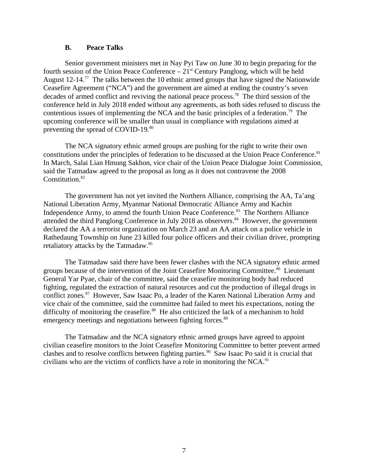### <span id="page-6-0"></span>**B. Peace Talks**

Senior government ministers met in Nay Pyi Taw on June 30 to begin preparing for the fourth session of the Union Peace Conference  $-21<sup>st</sup>$  Century Panglong, which will be held August 12-14.<sup>77</sup> The talks between the 10 ethnic armed groups that have signed the Nationwide Ceasefire Agreement ("NCA") and the government are aimed at ending the country's seven decades of armed conflict and reviving the national peace process.<sup>78</sup> The third session of the conference held in July 2018 ended without any agreements, as both sides refused to discuss the contentious issues of implementing the NCA and the basic principles of a federation.<sup>79</sup> The upcoming conference will be smaller than usual in compliance with regulations aimed at preventing the spread of COVID-19.<sup>80</sup>

The NCA signatory ethnic armed groups are pushing for the right to write their own constitutions under the principles of federation to be discussed at the Union Peace Conference.<sup>81</sup> In March, Salai Lian Hmung Sakhon, vice chair of the Union Peace Dialogue Joint Commission, said the Tatmadaw agreed to the proposal as long as it does not contravene the 2008 Constitution.<sup>82</sup>

The government has not yet invited the Northern Alliance, comprising the AA, Ta'ang National Liberation Army, Myanmar National Democratic Alliance Army and Kachin Independence Army, to attend the fourth Union Peace Conference.<sup>83</sup> The Northern Alliance attended the third Panglong Conference in July 2018 as observers.<sup>84</sup> However, the government declared the AA a terrorist organization on March 23 and an AA attack on a police vehicle in Rathedaung Township on June 23 killed four police officers and their civilian driver, prompting retaliatory attacks by the Tatmadaw.<sup>85</sup>

The Tatmadaw said there have been fewer clashes with the NCA signatory ethnic armed groups because of the intervention of the Joint Ceasefire Monitoring Committee.<sup>86</sup> Lieutenant General Yar Pyae, chair of the committee, said the ceasefire monitoring body had reduced fighting, regulated the extraction of natural resources and cut the production of illegal drugs in conflict zones.<sup>87</sup> However, Saw Isaac Po, a leader of the Karen National Liberation Army and vice chair of the committee, said the committee had failed to meet his expectations, noting the difficulty of monitoring the ceasefire. $88$  He also criticized the lack of a mechanism to hold emergency meetings and negotiations between fighting forces.<sup>89</sup>

The Tatmadaw and the NCA signatory ethnic armed groups have agreed to appoint civilian ceasefire monitors to the Joint Ceasefire Monitoring Committee to better prevent armed clashes and to resolve conflicts between fighting parties.<sup>90</sup> Saw Isaac Po said it is crucial that civilians who are the victims of conflicts have a role in monitoring the NCA. $91$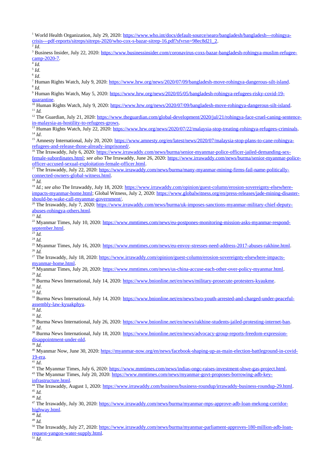<sup>1</sup> World Health Organization, July 29, 2020: [https://www.who.int/docs/default-source/searo/bangladesh/bangladesh---rohingya](https://www.who.int/docs/default-source/searo/bangladesh/bangladesh---rohingya-crisis---pdf-reports/sitreps/sitreps-2020/who-cox-s-bazar-sitrep-16.pdf?sfvrsn=98ec8d21_2)[crisis---pdf-reports/sitreps/sitreps-2020/who-cox-s-bazar-sitrep-16.pdf?sfvrsn=98ec8d21\\_2.](https://www.who.int/docs/default-source/searo/bangladesh/bangladesh---rohingya-crisis---pdf-reports/sitreps/sitreps-2020/who-cox-s-bazar-sitrep-16.pdf?sfvrsn=98ec8d21_2)

2 *Id*. <sup>3</sup> Business Insider, July 22, 2020: [https://www.businessinsider.com/coronavirus-coxs-bazar-bangladesh-rohingya-muslim-refugee](https://www.businessinsider.com/coronavirus-coxs-bazar-bangladesh-rohingya-muslim-refugee-camp-2020-7)[camp-2020-7.](https://www.businessinsider.com/coronavirus-coxs-bazar-bangladesh-rohingya-muslim-refugee-camp-2020-7)

4 *Id.*

5 *Id*.

6 *Id*.

<sup>7</sup> Human Rights Watch, July 9, 2020: [https://www.hrw.org/news/2020/07/09/bangladesh-move-rohingya-dangerous-silt-island.](https://www.hrw.org/news/2020/07/09/bangladesh-move-rohingya-dangerous-silt-island) 8 *Id.*

<sup>9</sup> Human Rights Watch, May 5, 2020: <u>https://www.hrw.org/news/2020/05/05/bangladesh-rohingya-refugees-risky-covid-19-</u> [quarantine.](https://www.hrw.org/news/2020/05/05/bangladesh-rohingya-refugees-risky-covid-19-quarantine)

<sup>10</sup> Human Rights Watch, July 9, 2020: [https://www.hrw.org/news/2020/07/09/bangladesh-move-rohingya-dangerous-silt-island.](https://www.hrw.org/news/2020/07/09/bangladesh-move-rohingya-dangerous-silt-island) <sup>11</sup> *Id.*

<sup>12</sup> The Guardian, July 21, 2020: [https://www.theguardian.com/global-development/2020/jul/21/rohingya-face-cruel-caning-sentence](https://www.theguardian.com/global-development/2020/jul/21/rohingya-face-cruel-caning-sentence-in-malaysia-as-hostility-to-refugees-grows)[in-malaysia-as-hostility-to-refugees-grows.](https://www.theguardian.com/global-development/2020/jul/21/rohingya-face-cruel-caning-sentence-in-malaysia-as-hostility-to-refugees-grows)

<sup>13</sup> Human Rights Watch, July 22, 2020: [https://www.hrw.org/news/2020/07/22/malaysia-stop-treating-rohingya-refugees-criminals.](https://www.hrw.org/news/2020/07/22/malaysia-stop-treating-rohingya-refugees-criminals)  $^{14}$  *Id*.

<sup>15</sup> Amnesty International, July 20, 2020: [https://www.amnesty.org/en/latest/news/2020/07/malaysia-stop-plans-to-cane-rohingya](https://www.amnesty.org/en/latest/news/2020/07/malaysia-stop-plans-to-cane-rohingya-refugees-and-release-those-already-imprisoned/)[refugees-and-release-those-already-imprisoned/.](https://www.amnesty.org/en/latest/news/2020/07/malaysia-stop-plans-to-cane-rohingya-refugees-and-release-those-already-imprisoned/)

16 The Irrawaddy, July 6, 2020: [https://www.irrawaddy.com/news/burma/senior-myanmar-police-officer-jailed-demanding-sex](https://www.irrawaddy.com/news/burma/senior-myanmar-police-officer-jailed-demanding-sex-female-subordinates.html)[female-subordinates.html;](https://www.irrawaddy.com/news/burma/senior-myanmar-police-officer-jailed-demanding-sex-female-subordinates.html) *see also* The Irrawaddy, June 26, 2020: [https://www.irrawaddy.com/news/burma/senior-myanmar-police](https://www.irrawaddy.com/news/burma/senior-myanmar-police-officer-accused-sexual-exploitation-female-officer.html)[officer-accused-sexual-exploitation-female-officer.html.](https://www.irrawaddy.com/news/burma/senior-myanmar-police-officer-accused-sexual-exploitation-female-officer.html)

<sup>17</sup> The Irrawaddy, July 22, 2020: [https://www.irrawaddy.com/news/burma/many-myanmar-mining-firms-fail-name-politically](https://www.irrawaddy.com/news/burma/many-myanmar-mining-firms-fail-name-politically-connected-owners-global-witness.html)[connected-owners-global-witness.html.](https://www.irrawaddy.com/news/burma/many-myanmar-mining-firms-fail-name-politically-connected-owners-global-witness.html)

<sup>18</sup> *Id.*

<sup>19</sup> *Id.*; *see also* The Irrawaddy, July 18, 2020: [https://www.irrawaddy.com/opinion/guest-column/erosion-sovereignty-elsewhere](https://www.irrawaddy.com/opinion/guest-column/erosion-sovereignty-elsewhere-impacts-myanmar-home.html)[impacts-myanmar-home.html;](https://www.irrawaddy.com/opinion/guest-column/erosion-sovereignty-elsewhere-impacts-myanmar-home.html) Global Witness, July 2, 2020: [https://www.globalwitness.org/en/press-releases/jade-mining-disaster](https://www.globalwitness.org/en/press-releases/jade-mining-disaster-should-be-wake-call-myanmar-government/)[should-be-wake-call-myanmar-government/.](https://www.globalwitness.org/en/press-releases/jade-mining-disaster-should-be-wake-call-myanmar-government/)

<sup>20</sup> The Irrawaddy, July 7, 2020: [https://www.irrawaddy.com/news/burma/uk-imposes-sanctions-myanmar-military-chief-deputy](https://www.irrawaddy.com/news/burma/uk-imposes-sanctions-myanmar-military-chief-deputy-abuses-rohingya-others.html)[abuses-rohingya-others.html.](https://www.irrawaddy.com/news/burma/uk-imposes-sanctions-myanmar-military-chief-deputy-abuses-rohingya-others.html)

<sup>21</sup> *Id.*

<sup>22</sup> Myanmar Times, July 10, 2020: [https://www.mmtimes.com/news/eu-postpones-monitoring-mission-asks-myanmar-respond](https://www.mmtimes.com/news/eu-postpones-monitoring-mission-asks-myanmar-respond-september.html)[september.html.](https://www.mmtimes.com/news/eu-postpones-monitoring-mission-asks-myanmar-respond-september.html)

 $\overline{^{23} \text{Id}}$ 

<sup>24</sup> *Id.*

<sup>25</sup> Myanmar Times, July 16, 2020: [https://www.mmtimes.com/news/eu-envoy-stresses-need-address-2017-abuses-rakhine.html.](https://www.mmtimes.com/news/eu-envoy-stresses-need-address-2017-abuses-rakhine.html) <sup>26</sup> *Id.*

<sup>27</sup> The Irrawaddy, July 18, 2020: [https://www.irrawaddy.com/opinion/guest-column/erosion-sovereignty-elsewhere-impacts](https://www.irrawaddy.com/opinion/guest-column/erosion-sovereignty-elsewhere-impacts-myanmar-home.html)[myanmar-home.html.](https://www.irrawaddy.com/opinion/guest-column/erosion-sovereignty-elsewhere-impacts-myanmar-home.html)

 $\frac{28}{28}$  Myanmar Times, July 20, 2020: [https://www.mmtimes.com/news/us-china-accuse-each-other-over-policy-myanmar.html.](https://www.mmtimes.com/news/us-china-accuse-each-other-over-policy-myanmar.html)

<sup>29</sup> *Id.*

<sup>30</sup> Burma News International, July 14, 2020: [https://www.bnionline.net/en/news/military-prosecute-protesters-kyaukme.](https://www.bnionline.net/en/news/military-prosecute-protesters-kyaukme)

<sup>31</sup> *Id*.

<sup>32</sup> *Id*.

<sup>33</sup> Burma News International, July 14, 2020: [https://www.bnionline.net/en/news/two-youth-arrested-and-charged-under-peaceful](https://www.bnionline.net/en/news/two-youth-arrested-and-charged-under-peaceful-assembly-law-kyuakphyu)[assembly-law-kyuakphyu.](https://www.bnionline.net/en/news/two-youth-arrested-and-charged-under-peaceful-assembly-law-kyuakphyu)

 $\overline{\overline{\phantom{a}^{34}}\,Id.}$ 

<sup>35</sup> *Id*.

<sup>36</sup> Burma News International, July 26, 2020: [https://www.bnionline.net/en/news/rakhine-students-jailed-protesting-internet-ban.](https://www.bnionline.net/en/news/rakhine-students-jailed-protesting-internet-ban) <sup>37</sup> *Id*.

<sup>38</sup> Burma News International, July 18, 2020: [https://www.bnionline.net/en/news/advocacy-group-reports-freedom-expression](https://www.bnionline.net/en/news/advocacy-group-reports-freedom-expression-disappointment-under-nld)[disappointment-under-nld.](https://www.bnionline.net/en/news/advocacy-group-reports-freedom-expression-disappointment-under-nld)

 $\overline{\frac{39}{}}$ *Id.* 

40 Myanmar Now, June 30, 2020: [https://myanmar-now.org/en/news/facebook-shaping-up-as-main-election-battleground-in-covid-](https://myanmar-now.org/en/news/facebook-shaping-up-as-main-election-battleground-in-covid-19-era)[19-era.](https://myanmar-now.org/en/news/facebook-shaping-up-as-main-election-battleground-in-covid-19-era)

 $41$  *Id.* 

<sup>42</sup> The Myanmar Times, July 6, 2020: [https://www.mmtimes.com/news/indias-ongc-raises-investment-shwe-gas-project.html.](https://www.mmtimes.com/news/indias-ongc-raises-investment-shwe-gas-project.html)

<sup>43</sup> The Myanmar Times, July 20, 2020: [https://www.mmtimes.com/news/myanmar-govt-proposes-borrowing-adb-key](https://www.mmtimes.com/news/myanmar-govt-proposes-borrowing-adb-key-infrastructure.html)[infrastructure.html.](https://www.mmtimes.com/news/myanmar-govt-proposes-borrowing-adb-key-infrastructure.html)

<sup>44</sup> The Irrawaddy, August 1, 2020: [https://www.irrawaddy.com/business/business-roundup/irrawaddy-business-roundup-29.html.](https://www.irrawaddy.com/business/business-roundup/irrawaddy-business-roundup-29.html) <sup>45</sup> *Id.*

<sup>46</sup> *Id.*

<sup>47</sup> The Irrawaddy, July 30, 2020: [https://www.irrawaddy.com/news/burma/myanmar-mps-approve-adb-loan-mekong-corridor](https://www.irrawaddy.com/news/burma/myanmar-mps-approve-adb-loan-mekong-corridor-highway.html)[highway.html.](https://www.irrawaddy.com/news/burma/myanmar-mps-approve-adb-loan-mekong-corridor-highway.html)

 $\overline{\overset{48}{16}}\, \overline{\overset{1}{Id}}$ . <sup>49</sup> *Id.*

<sup>50</sup> The Irrawaddy, July 27, 2020: [https://www.irrawaddy.com/news/burma/myanmar-parliament-approves-180-million-adb-loan](https://www.irrawaddy.com/news/burma/myanmar-parliament-approves-180-million-adb-loan-request-yangon-water-supply.html)[request-yangon-water-supply.html.](https://www.irrawaddy.com/news/burma/myanmar-parliament-approves-180-million-adb-loan-request-yangon-water-supply.html)

 $\overline{51}$ *Id.*